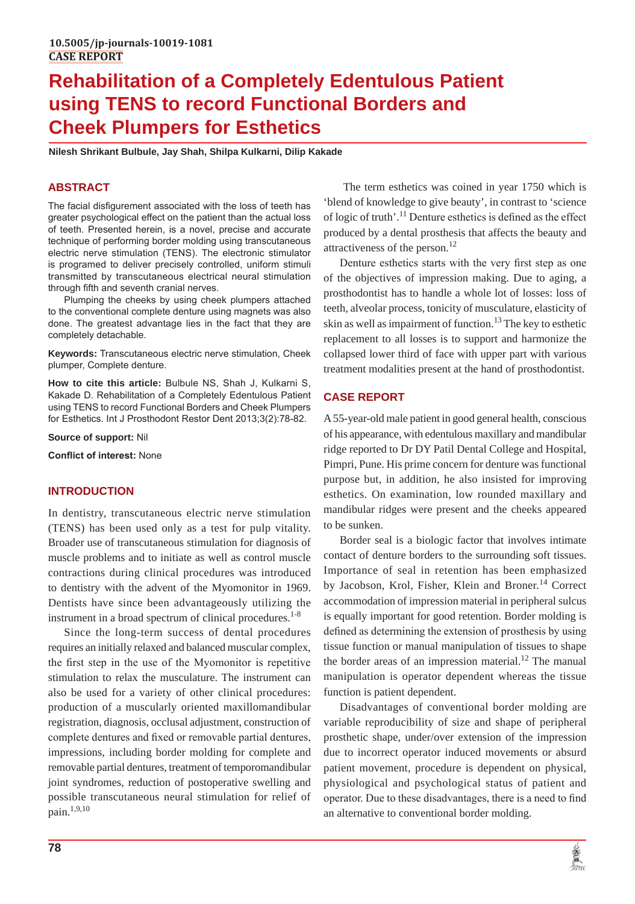# **Rehabilitation of a Completely Edentulous Patient using TENS to record Functional Borders and Cheek Plumpers for Esthetics**

**Nilesh Shrikant Bulbule, Jay Shah, Shilpa Kulkarni, Dilip Kakade** 

## **ABSTRACT**

The facial disfigurement associated with the loss of teeth has greater psychological effect on the patient than the actual loss of teeth. Presented herein, is a novel, precise and accurate technique of performing border molding using transcutaneous electric nerve stimulation (TENS). The electronic stimulator is programed to deliver precisely controlled, uniform stimuli transmitted by transcutaneous electrical neural stimulation through fifth and seventh cranial nerves.

Plumping the cheeks by using cheek plumpers attached to the conventional complete denture using magnets was also done. The greatest advantage lies in the fact that they are completely detachable.

**Keywords:** Transcutaneous electric nerve stimulation, Cheek plumper, Complete denture.

**How to cite this article:** Bulbule NS, Shah J, Kulkarni S, Kakade D. Rehabilitation of a Completely Edentulous Patient using TENS to record Functional Borders and Cheek Plumpers for Esthetics. Int J Prosthodont Restor Dent 2013;3(2):78-82.

**Source of support:** Nil

**Conflict of interest:** None

#### **INTRODUCTION**

In dentistry, transcutaneous electric nerve stimulation (TENS) has been used only as a test for pulp vitality. Broader use of transcutaneous stimulation for diagnosis of muscle problems and to initiate as well as control muscle contractions during clinical procedures was introduced to dentistry with the advent of the Myomonitor in 1969. Dentists have since been advantageously utilizing the instrument in a broad spectrum of clinical procedures.<sup>1-8</sup>

Since the long-term success of dental procedures requires an initially relaxed and balanced muscular complex, the first step in the use of the Myomonitor is repetitive stimulation to relax the musculature. The instrument can also be used for a variety of other clinical procedures: production of a muscularly oriented maxillomandibular registration, diagnosis, occlusal adjustment, construction of complete dentures and fixed or removable partial dentures, impressions, including border molding for complete and removable partial dentures, treatment of temporomandibular joint syndromes, reduction of postoperative swelling and possible transcutaneous neural stimulation for relief of pain.1,9,10

 The term esthetics was coined in year 1750 which is 'blend of knowledge to give beauty', in contrast to 'science of logic of truth'.11 Denture esthetics is defined as the effect produced by a dental prosthesis that affects the beauty and attractiveness of the person.<sup>12</sup>

Denture esthetics starts with the very first step as one of the objectives of impression making. Due to aging, a prosthodontist has to handle a whole lot of losses: loss of teeth, alveolar process, tonicity of musculature, elasticity of skin as well as impairment of function.<sup>13</sup> The key to esthetic replacement to all losses is to support and harmonize the collapsed lower third of face with upper part with various treatment modalities present at the hand of prosthodontist.

## **CASE REPORT**

A 55-year-old male patient in good general health, conscious of his appearance, with edentulous maxillary and mandibular ridge reported to Dr DY Patil Dental College and Hospital, Pimpri, Pune. His prime concern for denture was functional purpose but, in addition, he also insisted for improving esthetics. On examination, low rounded maxillary and mandibular ridges were present and the cheeks appeared to be sunken.

Border seal is a biologic factor that involves intimate contact of denture borders to the surrounding soft tissues. Importance of seal in retention has been emphasized by Jacobson, Krol, Fisher, Klein and Broner.<sup>14</sup> Correct accommodation of impression material in peripheral sulcus is equally important for good retention. Border molding is defined as determining the extension of prosthesis by using tissue function or manual manipulation of tissues to shape the border areas of an impression material.<sup>12</sup> The manual manipulation is operator dependent whereas the tissue function is patient dependent.

Disadvantages of conventional border molding are variable reproducibility of size and shape of peripheral prosthetic shape, under/over extension of the impression due to incorrect operator induced movements or absurd patient movement, procedure is dependent on physical, physiological and psychological status of patient and operator. Due to these disadvantages, there is a need to find an alternative to conventional border molding.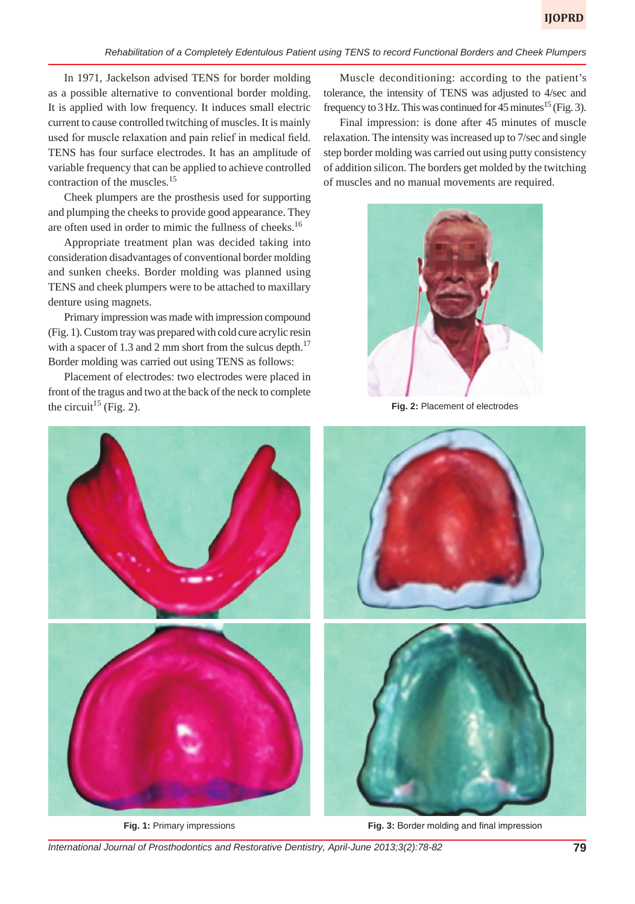In 1971, Jackelson advised TENS for border molding as a possible alternative to conventional border molding. It is applied with low frequency. It induces small electric current to cause controlled twitching of muscles. It is mainly used for muscle relaxation and pain relief in medical field. TENS has four surface electrodes. It has an amplitude of variable frequency that can be applied to achieve controlled contraction of the muscles.15

Cheek plumpers are the prosthesis used for supporting and plumping the cheeks to provide good appearance. They are often used in order to mimic the fullness of cheeks.16

Appropriate treatment plan was decided taking into consideration disadvantages of conventional border molding and sunken cheeks. Border molding was planned using TENS and cheek plumpers were to be attached to maxillary denture using magnets.

Primary impression was made with impression compound (Fig. 1). Custom tray was prepared with cold cure acrylic resin with a spacer of 1.3 and 2 mm short from the sulcus depth.<sup>17</sup> Border molding was carried out using TENS as follows:

Placement of electrodes: two electrodes were placed in front of the tragus and two at the back of the neck to complete the circuit<sup>15</sup> (Fig. 2).

Muscle deconditioning: according to the patient's tolerance, the intensity of TENS was adjusted to 4/sec and frequency to 3 Hz. This was continued for 45 minutes<sup>15</sup> (Fig. 3).

Final impression: is done after 45 minutes of muscle relaxation. The intensity was increased up to 7/sec and single step border molding was carried out using putty consistency of addition silicon. The borders get molded by the twitching of muscles and no manual movements are required.



**Fig. 2:** Placement of electrodes



**Fig. 1:** Primary impressions

**Fig. 3:** Border molding and final impression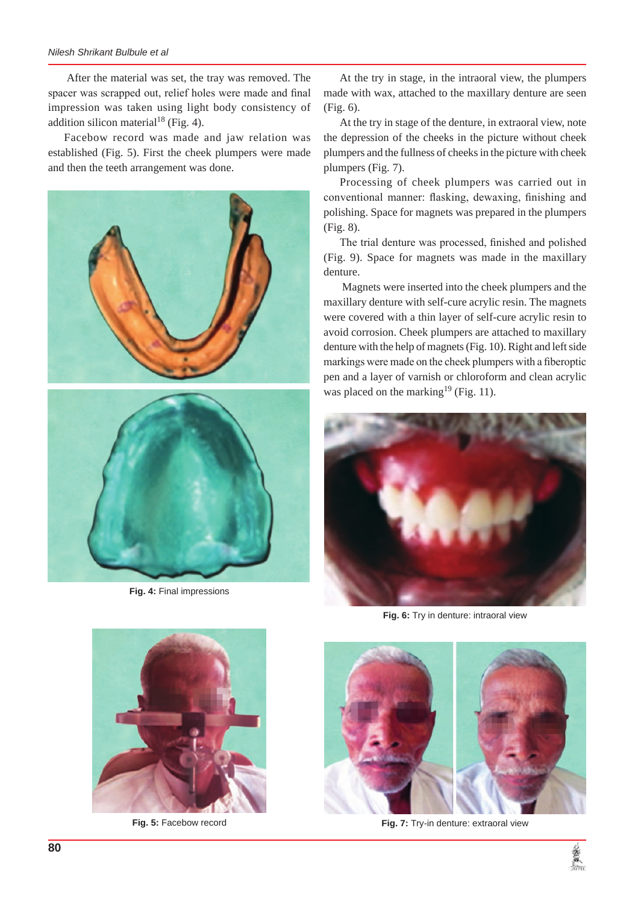#### *Nilesh Shrikant Bulbule et al*

 After the material was set, the tray was removed. The spacer was scrapped out, relief holes were made and final impression was taken using light body consistency of addition silicon material<sup>18</sup> (Fig. 4).

Facebow record was made and jaw relation was established (Fig. 5). First the cheek plumpers were made and then the teeth arrangement was done.



**Fig. 4:** Final impressions

At the try in stage, in the intraoral view, the plumpers made with wax, attached to the maxillary denture are seen (Fig. 6).

At the try in stage of the denture, in extraoral view, note the depression of the cheeks in the picture without cheek plumpers and the fullness of cheeks in the picture with cheek plumpers (Fig. 7).

Processing of cheek plumpers was carried out in conventional manner: flasking, dewaxing, finishing and polishing. Space for magnets was prepared in the plumpers (Fig. 8).

The trial denture was processed, finished and polished (Fig. 9). Space for magnets was made in the maxillary denture.

 Magnets were inserted into the cheek plumpers and the maxillary denture with self-cure acrylic resin. The magnets were covered with a thin layer of self-cure acrylic resin to avoid corrosion. Cheek plumpers are attached to maxillary denture with the help of magnets (Fig. 10). Right and left side markings were made on the cheek plumpers with a fiberoptic pen and a layer of varnish or chloroform and clean acrylic was placed on the marking<sup>19</sup> (Fig. 11).



**Fig. 6:** Try in denture: intraoral view



**Fig. 7:** Try-in denture: extraoral view



**Fig. 5:** Facebow record

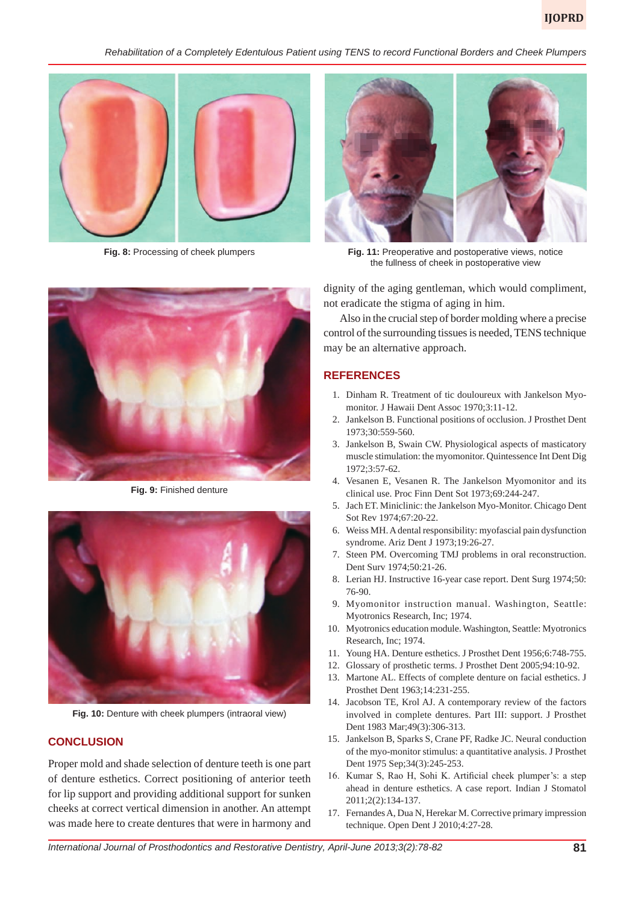*Rehabilitation of a Completely Edentulous Patient using TENS to record Functional Borders and Cheek Plumpers*



**Fig. 8:** Processing of cheek plumpers



**Fig. 11:** Preoperative and postoperative views, notice the fullness of cheek in postoperative view

dignity of the aging gentleman, which would compliment, not eradicate the stigma of aging in him.

Also in the crucial step of border molding where a precise control of the surrounding tissues is needed, TENS technique may be an alternative approach.

#### **REFERENCES**

- 1. Dinham R. Treatment of tic douloureux with Jankelson Myomonitor. J Hawaii Dent Assoc 1970;3:11-12.
- 2. Jankelson B. Functional positions of occlusion. J Prosthet Dent 1973;30:559-560.
- 3. Jankelson B, Swain CW. Physiological aspects of masticatory muscle stimulation: the myomonitor. Quintessence Int Dent Dig 1972;3:57-62.
- 4. Vesanen E, Vesanen R. The Jankelson Myomonitor and its clinical use. Proc Finn Dent Sot 1973;69:244-247.
- 5. Jach ET. Miniclinic: the Jankelson Myo-Monitor. Chicago Dent Sot Rev 1974;67:20-22.
- 6. Weiss MH. A dental responsibility: myofascial pain dysfunction syndrome. Ariz Dent J 1973;19:26-27.
- 7. Steen PM. Overcoming TMJ problems in oral reconstruction. Dent Surv 1974;50:21-26.
- 8. Lerian HJ. Instructive 16-year case report. Dent Surg 1974;50: 76-90.
- 9. Myomonitor instruction manual. Washington, Seattle: Myotronics Research, Inc; 1974.
- 10. Myotronics education module. Washington, Seattle: Myotronics Research, Inc; 1974.
- 11. Young HA. Denture esthetics. J Prosthet Dent 1956;6:748-755.
- 12. Glossary of prosthetic terms. J Prosthet Dent 2005;94:10-92.
- 13. Martone AL. Effects of complete denture on facial esthetics. J Prosthet Dent 1963;14:231-255.
- 14. Jacobson TE, Krol AJ. A contemporary review of the factors involved in complete dentures. Part III: support. J Prosthet Dent 1983 Mar;49(3):306-313.
- 15. Jankelson B, Sparks S, Crane PF, Radke JC. Neural conduction of the myo-monitor stimulus: a quantitative analysis. J Prosthet Dent 1975 Sep;34(3):245-253.
- 16. Kumar S, Rao H, Sohi K. Artificial cheek plumper's: a step ahead in denture esthetics. A case report. Indian J Stomatol 2011;2(2):134-137.
- 17. Fernandes A, Dua N, Herekar M. Corrective primary impression technique. Open Dent J 2010;4:27-28.



**Fig. 10:** Denture with cheek plumpers (intraoral view)

#### **CONCLUSION**

Proper mold and shade selection of denture teeth is one part of denture esthetics. Correct positioning of anterior teeth for lip support and providing additional support for sunken cheeks at correct vertical dimension in another. An attempt was made here to create dentures that were in harmony and

*International Journal of Prosthodontics and Restorative Dentistry, April-June 2013;3(2):78-82* **81**